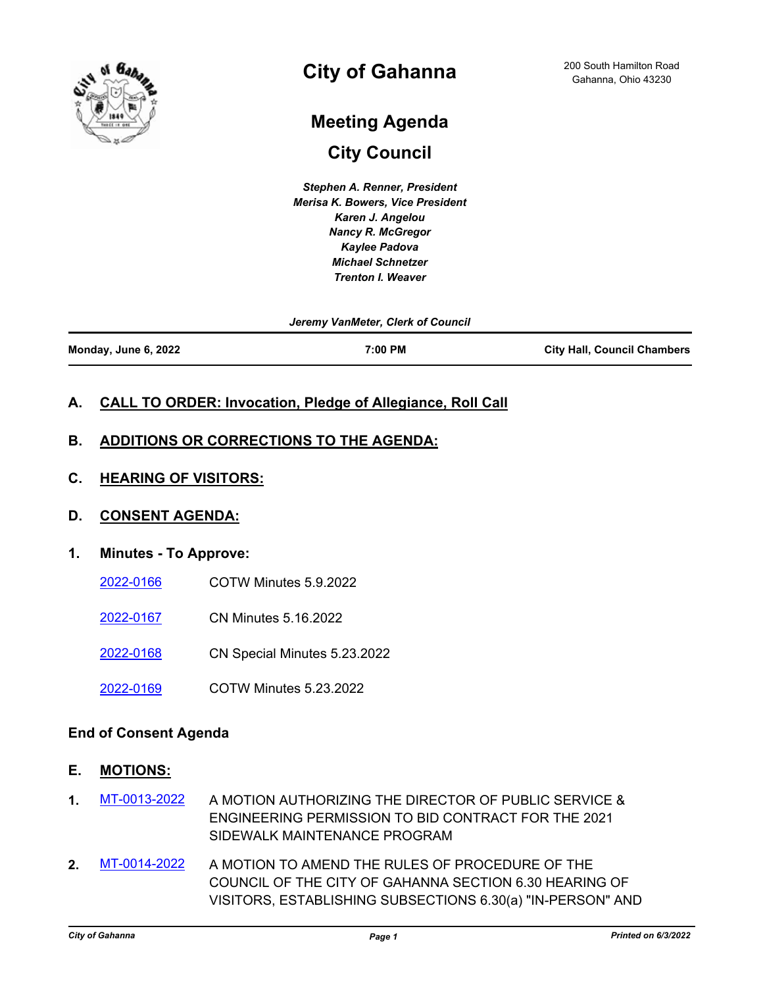

## **City of Gahanna**

# **City Council Meeting Agenda**

*Stephen A. Renner, President Merisa K. Bowers, Vice President Karen J. Angelou Nancy R. McGregor Kaylee Padova Michael Schnetzer Trenton I. Weaver*

*Jeremy VanMeter, Clerk of Council*

**Monday, June 6, 2022 7:00 PM City Hall, Council Chambers**

## **A. CALL TO ORDER: Invocation, Pledge of Allegiance, Roll Call**

## **B. ADDITIONS OR CORRECTIONS TO THE AGENDA:**

**C. HEARING OF VISITORS:**

### **D. CONSENT AGENDA:**

### **1. Minutes - To Approve:**

- [2022-0166](http://gahanna.legistar.com/gateway.aspx?m=l&id=/matter.aspx?key=17001) COTW Minutes 5.9.2022
- [2022-0167](http://gahanna.legistar.com/gateway.aspx?m=l&id=/matter.aspx?key=17002) CN Minutes 5.16.2022
- [2022-0168](http://gahanna.legistar.com/gateway.aspx?m=l&id=/matter.aspx?key=17003) CN Special Minutes 5.23.2022
- [2022-0169](http://gahanna.legistar.com/gateway.aspx?m=l&id=/matter.aspx?key=17004) COTW Minutes 5.23.2022

### **End of Consent Agenda**

- **E. MOTIONS:**
- **1.** [MT-0013-2022](http://gahanna.legistar.com/gateway.aspx?m=l&id=/matter.aspx?key=16991) A MOTION AUTHORIZING THE DIRECTOR OF PUBLIC SERVICE & ENGINEERING PERMISSION TO BID CONTRACT FOR THE 2021 SIDEWALK MAINTENANCE PROGRAM
- **2.** [MT-0014-2022](http://gahanna.legistar.com/gateway.aspx?m=l&id=/matter.aspx?key=16998) A MOTION TO AMEND THE RULES OF PROCEDURE OF THE COUNCIL OF THE CITY OF GAHANNA SECTION 6.30 HEARING OF VISITORS, ESTABLISHING SUBSECTIONS 6.30(a) "IN-PERSON" AND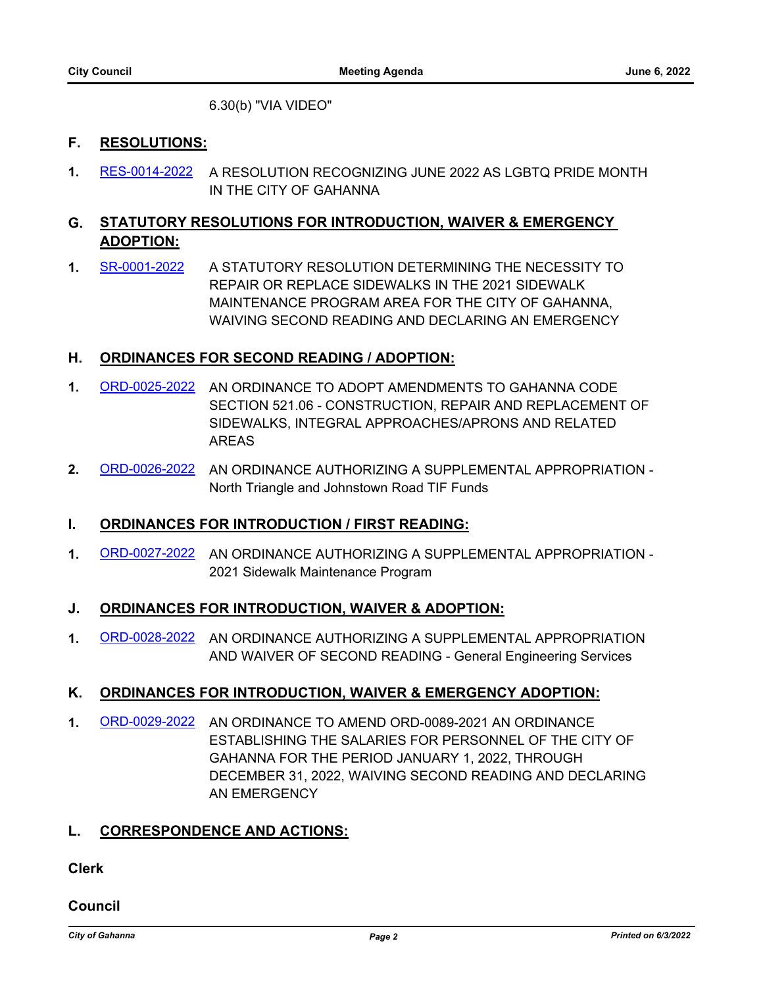6.30(b) "VIA VIDEO"

## **F. RESOLUTIONS:**

**1.** [RES-0014-2022](http://gahanna.legistar.com/gateway.aspx?m=l&id=/matter.aspx?key=16994) A RESOLUTION RECOGNIZING JUNE 2022 AS LGBTQ PRIDE MONTH IN THE CITY OF GAHANNA

## **G. STATUTORY RESOLUTIONS FOR INTRODUCTION, WAIVER & EMERGENCY ADOPTION:**

**1.** [SR-0001-2022](http://gahanna.legistar.com/gateway.aspx?m=l&id=/matter.aspx?key=16990) A STATUTORY RESOLUTION DETERMINING THE NECESSITY TO REPAIR OR REPLACE SIDEWALKS IN THE 2021 SIDEWALK MAINTENANCE PROGRAM AREA FOR THE CITY OF GAHANNA, WAIVING SECOND READING AND DECLARING AN EMERGENCY

## **H. ORDINANCES FOR SECOND READING / ADOPTION:**

- **1.** [ORD-0025-2022](http://gahanna.legistar.com/gateway.aspx?m=l&id=/matter.aspx?key=16968) AN ORDINANCE TO ADOPT AMENDMENTS TO GAHANNA CODE SECTION 521.06 - CONSTRUCTION, REPAIR AND REPLACEMENT OF SIDEWALKS, INTEGRAL APPROACHES/APRONS AND RELATED AREAS
- **2.** [ORD-0026-2022](http://gahanna.legistar.com/gateway.aspx?m=l&id=/matter.aspx?key=16971) AN ORDINANCE AUTHORIZING A SUPPLEMENTAL APPROPRIATION North Triangle and Johnstown Road TIF Funds

### **I. ORDINANCES FOR INTRODUCTION / FIRST READING:**

**1.** [ORD-0027-2022](http://gahanna.legistar.com/gateway.aspx?m=l&id=/matter.aspx?key=16992) AN ORDINANCE AUTHORIZING A SUPPLEMENTAL APPROPRIATION - 2021 Sidewalk Maintenance Program

### **J. ORDINANCES FOR INTRODUCTION, WAIVER & ADOPTION:**

**1.** [ORD-0028-2022](http://gahanna.legistar.com/gateway.aspx?m=l&id=/matter.aspx?key=16993) AN ORDINANCE AUTHORIZING A SUPPLEMENTAL APPROPRIATION AND WAIVER OF SECOND READING - General Engineering Services

## **K. ORDINANCES FOR INTRODUCTION, WAIVER & EMERGENCY ADOPTION:**

**1.** [ORD-0029-2022](http://gahanna.legistar.com/gateway.aspx?m=l&id=/matter.aspx?key=16995) AN ORDINANCE TO AMEND ORD-0089-2021 AN ORDINANCE ESTABLISHING THE SALARIES FOR PERSONNEL OF THE CITY OF GAHANNA FOR THE PERIOD JANUARY 1, 2022, THROUGH DECEMBER 31, 2022, WAIVING SECOND READING AND DECLARING AN EMERGENCY

### **L. CORRESPONDENCE AND ACTIONS:**

**Clerk**

**Council**